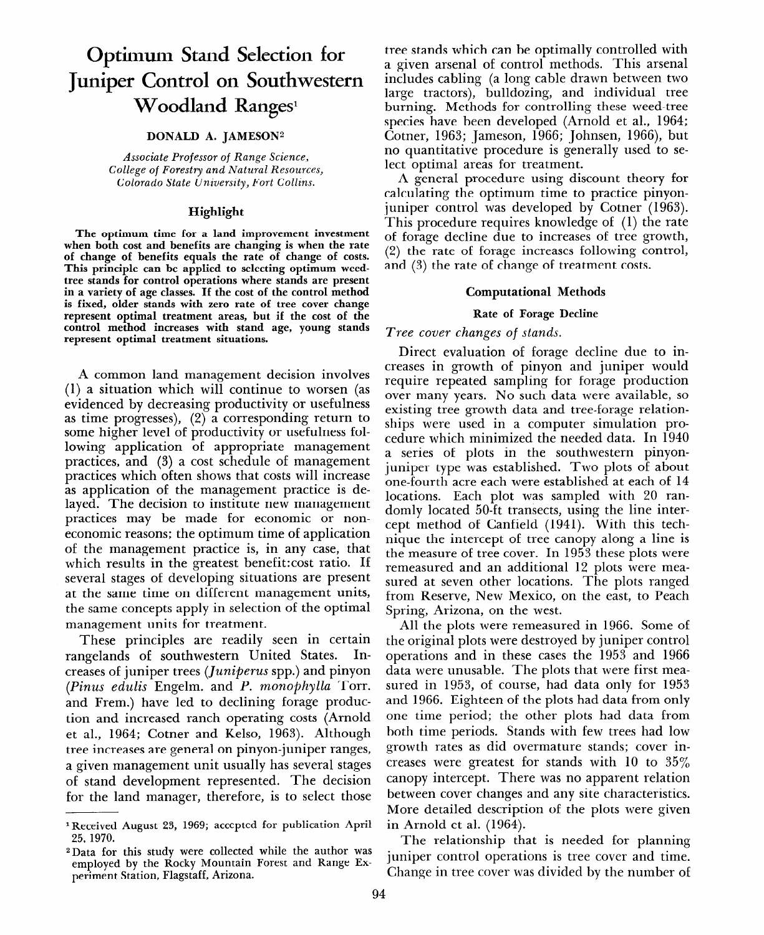# **Optimum Stand Selection for Juniper Control on Southwestern Woodland Ranges<sup>1</sup>**

# **DONALD A. JAMESON<sup>2</sup>**

*Associate Professor* of *Range Science, College* of *Forestry and Natural Resources, Colorado State University, Fort Collins.* 

## **Highlight**

**The optimum time for a land improvement investment when both cost and benefits are changing is when the rate of change of benefits equals the rate of change of costs. This principle can be applied to selecting optimum weedtree stands for control operations where stands are present in a variety of age classes. If the cost of the control method is fixed, older stands with zero rate of tree cover change represent optimal treatment areas, but if the cost of the control method increases with stand age, young stands represent optimal treatment situations.** 

A common land management decision involves (1) a situation which will continue to worsen (as evidenced by decreasing productivity or usefulness as time progresses), (2) a corresponding return to some higher level of productivity or usefulness following application of appropriate management practices, and (3) a cost schedule of management practices which often shows that costs will increase as application of the management practice is delayed. The decision to institute new management practices may be made for economic or noneconomic reasons; the optimum time of application of the management practice is, in any case, that which results in the greatest benefit:cost ratio. If several stages of developing situations are present at the same time on different management units, the same concepts apply in selection of the optimal management units for treatment.

These principles are readily seen in certain rangelands of southwestern United States. Increases of juniper trees *(Juniperus* spp.) and pinyon *(Pinus edulis* Engelm. and *P. monophylla* Torr. and Frem.) have led to declining forage production and increased ranch operating costs (Arnold et al., 1964; Cotner and Kelso, 1963). Although tree increases are general on pinyon-juniper ranges, a given management unit usually has several stages of stand development represented. The decision for the land manager, therefore, is to select those

tree stands which can be optimally controlled with a given arsenal of control methods. This arsenal includes cabling (a long cable drawn between two large tractors), bulldozing, and individual tree burning. Methods for controlling these weed-tree species have been developed (Arnold et al., 1964; Cotner, 1963; Jameson, 1966; Johnsen, 1966), but no quantitative procedure is generally used to select optimal areas for treatment.

A general procedure using discount theory for calculating the optimum time to practice pinyonjuniper control was developed by Cotner (1963). This procedure requires knowledge of (1) the rate of forage decline due to increases of tree growth, (2) the rate of forage increases following control, and (3) the rate of change of treatment costs.

# **Computational Methods**

## **Rate of Forage Decline**

# *Tree cover changes of stands.*

Direct evaluation of forage decline due to increases in growth of pinyon and juniper would require repeated sampling for forage production over many years. No such data were available, so existing tree growth data and tree-forage relationships were used in a computer simulation procedure which minimized the needed data. In 1940 a series of plots in the southwestern pinyonjuniper type was established. Two plots of about one-fourth acre each were established at each of 14 locations. Each plot was sampled with 20 randomly located 50-ft transects, using the line intercept method of Canfield (1941). With this technique the intercept of tree canopy along a line is the measure of tree cover. In 1953 these plots were remeasured and an additional 12 plots were measured at seven other locations. The plots ranged from Reserve, New Mexico, on the east, to Peach Spring, Arizona, on the west.

All the plots were remeasured in 1966. Some of the original plots were destroyed by juniper control operations and in these cases the 1953 and 1966 data were unusable. The plots that were first measured in 1953, of course, had data only for 1953 and 1966. Eighteen of the plots had data from only one time period; the other plots had data from both time periods. Stands with few trees had low growth rates as did overmature stands; cover increases were greatest for stands with 10 to 35% canopy intercept. There was no apparent relation between cover changes and any site characteristics. More detailed description of the plots were given in Arnold et al. (1964).

The relationship that is needed for planning juniper control operations is tree cover and time. Change in tree cover was divided by the number of

<sup>&</sup>lt;sup>1</sup> Received August 23, 1969; accepted for publication April 25, 1970.

<sup>2</sup>Data for this study were collected while the author was employed by the Rocky Mountain Forest and Range Experiment Station, Flagstaff, Arizona.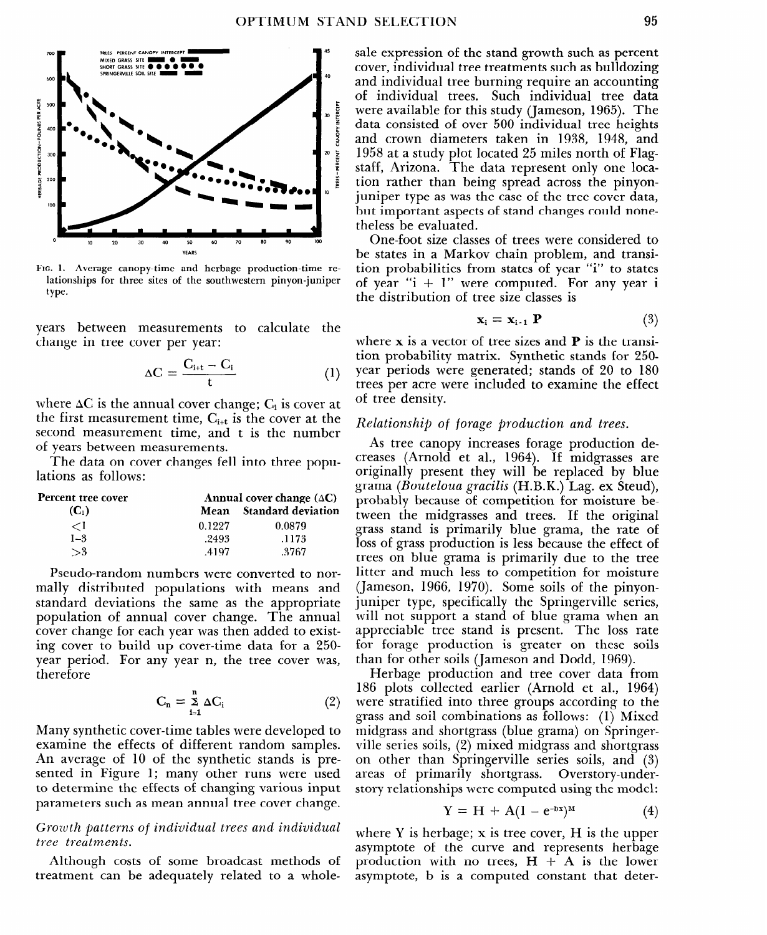

**FIG. 1. Average canopy-time and herbage production-time relationships for three sites of the southwestern pinyon-juniper**  type.

years between measurements to calculate the change in tree cover per year:

$$
\Delta C = \frac{C_{i+t} - C_i}{t} \tag{1}
$$

where  $\Delta C$  is the annual cover change;  $C_i$  is cover at the first measurement time,  $C_{i+t}$  is the cover at the second measurement time, and t is the number of years between measurements.

The data on cover changes fell into three populations as follows:

| Percent tree cover | Annual cover change $(\Delta C)$ |                           |  |
|--------------------|----------------------------------|---------------------------|--|
| $(C_i)$            | Mean                             | <b>Standard deviation</b> |  |
| 91                 | 0.1227                           | 0.0879                    |  |
| $1 - 3$            | .2493                            | .1173                     |  |
| $\mathbb{R}^2$     | 4197                             | .3767                     |  |

Pseudo-random numbers were converted to normally distributed populations with means and standard deviations the same as the appropriate population of annual cover change. The annual cover change for each year was then added to existing cover to build up cover-time data for a 250 year period. For any year n, the tree cover was, therefore

$$
C_n = \sum_{i=1}^n \Delta C_i \tag{2}
$$

Many synthetic cover-time tables were developed to examine the effects of different random samples. An average of 10 of the synthetic stands is presented in Figure 1; many other runs were used to determine the effects of changing various input parameters such as mean annual tree cover change.

# *Growth patterns of individual trees and individual tree treatments.*

Although costs of some broadcast methods of treatment can be adequately related to a wholesale expression of the stand growth such as percent cover, individual tree treatments such as bulldozing and individual tree burning require an accounting of individual trees. Such individual tree data were available for this study (Jameson, 1965). The data consisted of over 500 individual tree heights and crown diameters taken in 1938, 1948, and 1958 at a study plot located 25 miles north of Flagstaff, Arizona. The data represent only one location rather than being spread across the pinyonjuniper type as was the case of the tree cover data, but important aspects of stand changes could nonetheless be evaluated.

One-foot size classes of trees were considered to be states in a Markov chain problem, and transition probabilities from states of year "i" to states of year " $i + 1$ " were computed. For any year  $i$ the distribution of tree size classes is

$$
\mathbf{x}_{i} = \mathbf{x}_{i-1} \; \mathbf{P} \tag{3}
$$

where x is a vector of tree sizes and **P** is the transition probability matrix. Synthetic stands for 250 year periods were generated; stands of 20 to 180 trees per acre were included to examine the effect of tree density.

#### *Relationship of forage production and trees.*

As tree canopy increases forage production decreases (Arnold et al., 1964). If midgrasses are originally present they will be replaced by blue grama *(Bouteloua gracilis* (H.B.K.) Lag. ex Steud), probably because of competition for moisture between the midgrasses and trees. If the original grass stand is primarily blue grama, the rate of loss of grass production is less because the effect of trees on blue grama is primarily due to the tree litter and much less to competition for moisture (Jameson, 1966, 1970). Some soils of the pinyonjuniper type, specifically the Springerville series, will not support a stand of blue grama when an appreciable tree stand is present. The loss rate for forage production is greater on these soils than for other soils (Jameson and Dodd, 1969).

Herbage production and tree cover data from 186 plots collected earlier (Arnold et al., 1964) were stratified into three groups according to the grass and soil combinations as follows: (1) Mixed midgrass and shortgrass (blue grama) on Springerville series soils, (2) mixed midgrass and shortgrass on other than Springerville series soils, and (3) areas of primarily shortgrass. Overstory-understory relationships were computed using the model:

$$
Y = H + A(1 - e^{-bx})^M \tag{4}
$$

where Y is herbage; x is tree cover, H is the upper asymptote of the curve and represents herbage production with no trees,  $H + A$  is the lower asymptote, b is a computed constant that deter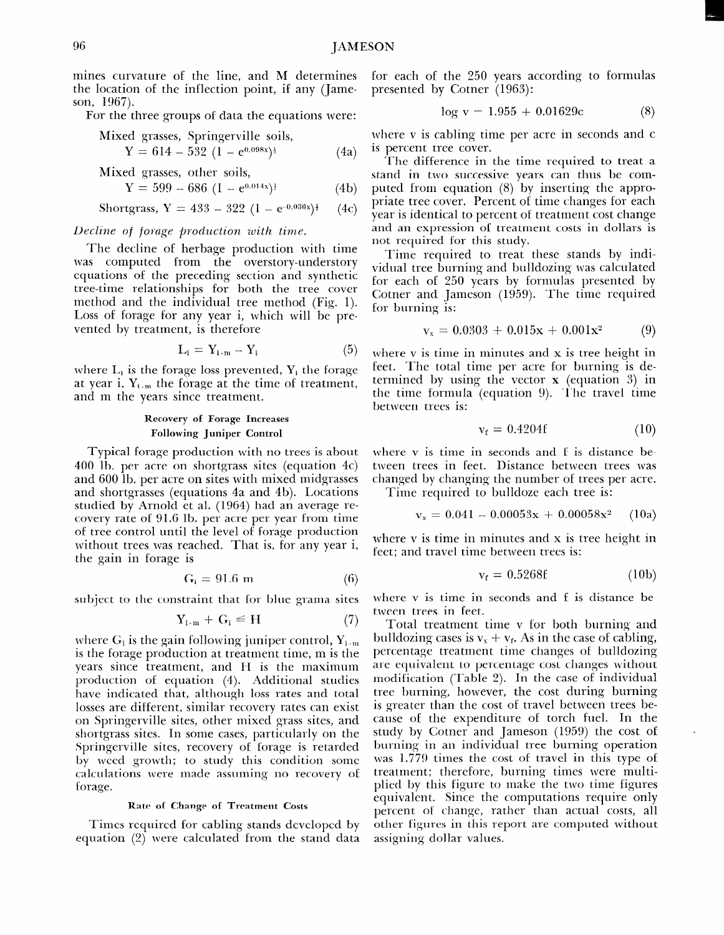mines curvature of the line, and M determines the location of the inflection point, if any (Jameson, 1967).

For the three groups of data the equations were:

Mixed grasses, Springerville soils,  
\n
$$
Y = 614 - 532 (1 - e^{0.098x})^{\frac{1}{2}}
$$
\n(4a)

Mixed grasses, other soils,  
 
$$
Y = 599 - 686 (1 - e^{0.014x})
$$
 (4b)

$$
1 - 333 - 000 (1 - C)
$$
 (10)

Shortgrass, Y = 433 - 322 (1 - e<sup>-0.036x</sup>)<sup> $\frac{1}{2}$ </sup> (4c)

## *Decline of forage production with time.*

The decline of herbage production with time was computed from the overstory-understory equations of the preceding section and synthetic tree-time relationships for both the tree cover method and the individual tree method (Fig. 1). Loss of forage for any year i, which will be prevented by treatment, is therefore

$$
L_i = Y_{i-m} - Y_i \tag{5}
$$

where  $L_i$  is the forage loss prevented,  $Y_i$  the forage at year i,  $Y_{i,m}$  the forage at the time of treatment, and m the years since treatment.

# **Recovery of Forage Increases Following Juniper Control**

Typical forage production with no trees is about 400 lb. per acre on shortgrass sites (equation 4c) and 600 lb. per acre on sites with mixed midgrasses and shortgrasses (equations 4a and 4b). Locations studied by Arnold et al. (1964) had an average recovery rate of 91.6 lb. per acre per year from time of tree control until the level of forage production without trees was reached. That is, for any year i, the gain in forage is

$$
G_i = 91.6 \text{ m} \tag{6}
$$

subject to the constraint that for blue grama sites

$$
Y_{i-m} + G_i \leq H \tag{7}
$$

where  $G_i$  is the gain following juniper control,  $Y_{i-m}$ is the forage production at treatment time, m is the years since treatment, and H is the maximum production of equation (4). Additional studies have indicated that, although loss rates and total losses are different, similar recovery rates can exist on Springerville sites, other mixed grass sites, and shortgrass sites. In some cases, particularly on the Springerville sites, recovery of forage is retarded by weed growth; to study this condition some calculations were made assuming no recovery of forage.

#### **Rate of Change of Treatment Costs**

Times required for cabling stands developed by equation (2) were calculated from the stand data for each of the 250 years according to formulas presented by Cotner (1963):

$$
\log v = 1.955 + 0.01629c \tag{8}
$$

where v is cabling time per acre in seconds and c is percent tree cover.

The difference in the time required to treat a stand in two successive years can thus be computed from equation (8) by inserting the appropriate tree cover. Percent of time changes for each year is identical to percent of treatment cost change and an expression of treatment costs in dollars is not required for this study.

Time required to treat these stands by individual tree burning and bulldozing was calculated for each of 250 years by formulas presented by Cotner and Jameson (1959). The time required for burning is:

$$
v_x = 0.0303 + 0.015x + 0.001x^2 \tag{9}
$$

where v is time in minutes and x is tree height in feet. The total time per acre for burning is determined by using the vector  $x$  (equation 3) in the time formula (equation 9). The travel time between trees is:

$$
\mathbf{v}_{\mathbf{f}} = 0.4204\mathbf{f} \tag{10}
$$

where v is time in seconds and f is distance between trees in feet. Distance between trees was changed by changing the number of trees per acre.

Time required to bulldoze each tree is:

$$
v_x = 0.041 - 0.00053x + 0.00058x^2
$$
 (10a)

where v is time in minutes and x is tree height in feet; and travel time between trees is:

$$
\mathbf{v}_{\mathbf{f}} = 0.5268 \mathbf{f} \tag{10b}
$$

where v is time in seconds and f is distance between trees in feet.

Total treatment time v for both burning and bulldozing cases is  $v_x + v_f$ . As in the case of cabling, percentage treatment time changes of bulldozing are equivalent to percentage cost changes without modification (Table 2). In the case of individual tree burning, however, the cost during burning is greater than the cost of travel between trees because of the expenditure of torch fuel. In the study by Cotner and Jameson (1959) the cost of burning in an individual tree burning operation was 1.779 times the cost of travel in this type of treatment; therefore, burning times were multiplied by this figure to make the two time figures equivalent. Since the computations require only percent of change, rather than actual costs, all other figures in this report are computed without assigning dollar values.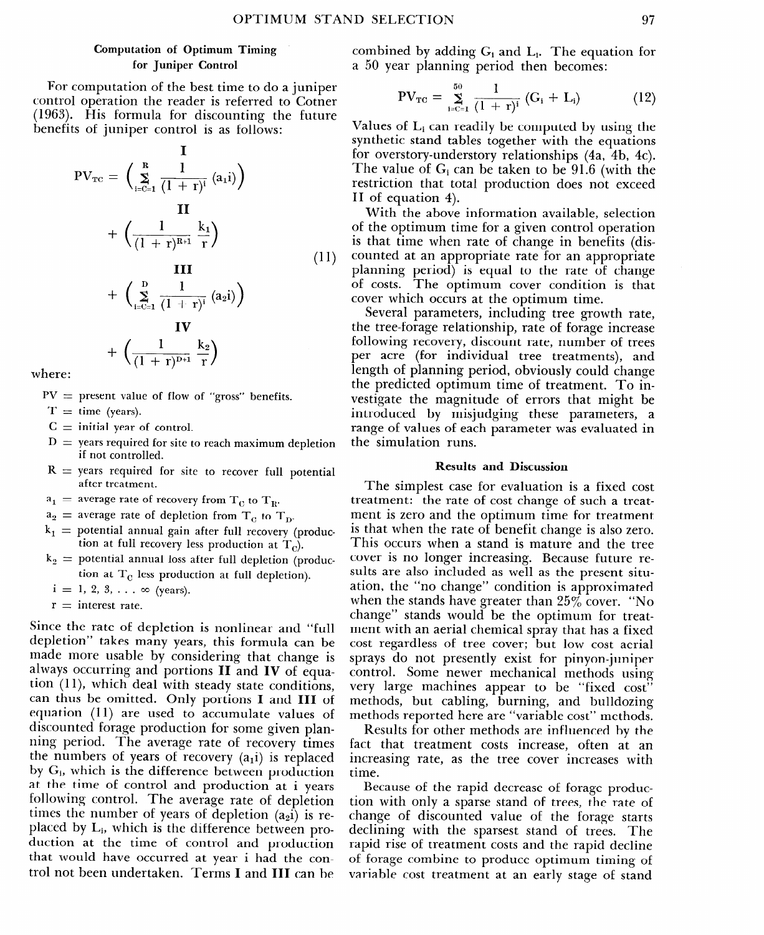## Computation of Optimum Timing for Juniper Control

For computation of the best time to do a juniper control operation the reader is referred to Cotner (1963). His formula for discounting the future benefits of juniper control is as follows:

$$
PV_{TC} = \left(\sum_{i=C=1}^{R} \frac{1}{(1+r)^{i}} (a_{i}i)\right)
$$
  
+ 
$$
\left(\frac{1}{(1+r)^{R+i}} \frac{k_{1}}{r}\right)
$$
  
+ 
$$
\left(\sum_{i=C=1}^{D} \frac{1}{(1+r)^{i}} (a_{2}i)\right)
$$
 (11)

$$
+\left(\frac{1}{(1+r)^{D+1}}\frac{k_2}{r}\right)
$$

where:

 $PV =$  present value of flow of "gross" benefit

 $T =$  time (years)

- $C\,=\,$  initial year of contro
- ${\rm D}\, =\,$  years required for site to reach maximum depletic if not controlled.
- $R =$  years required for site to recover full potenti after treatment.
- $a_1$  = average rate of recovery from  $T_c$  to  $T_m$

 $a_2$  = average rate of depletion from  $T_a$  to  $T_a$ .

- $k_1$   $\equiv$  potential annual gain after full recovery (produ tion at full recovery less production at  $T_c$ ).
- ${\rm k}_{2}=$  potential annual loss after full depletion (produ tion at  $T_c$  less production at full depletion).
	- $i = 1, 2, 3, \ldots \infty$  (years)
	- ${\rm r\, = \, \, \rm interest\,\, rate}$

Since the rate of depletion is nonlinear and "full depletion" takes many years, this formula can be made more usable by considering that change is always occurring and portions II and IV of equation  $(11)$ , which deal with steady state conditions, can thus be omitted. Only portions I and III of equation (11) are used to accumulate values of discounted forage production for some given planning period. The average rate of recovery times the numbers of years of recovery  $(a_1i)$  is replaced by  $G_i$ , which is the difference between production at the time of control and production at i years following control. The average rate of depletion times the number of years of depletion  $(a_2i)$  is replaced by Li, which is the difference between production at the time of control and production that would have occurred at year i had the control not been undertaken. Terms I and III can be

combined by adding  $G_i$  and  $L_i$ . The equation for a 50 year planning period then becomes:

$$
PV_{TC} = \sum_{i=C=1}^{50} \frac{1}{(1+r)^i} (G_i + L_i)
$$
 (12)

Values of  $L_i$  can readily be computed by using the synthetic stand tables together with the equations for overstory-understory relationships (4a, 4b, 4c). The value of  $G_i$  can be taken to be 91.6 (with the restriction that total production does not exceed H of equation 4).

With the above information available, selection of the optimum time for a given control operation is that time when rate of change in benefits (discounted at an appropriate rate for an appropriate planning period) is equal to the rate of change of costs. The optimum cover condition is that cover which occurs at the optimum time.

Several parameters, including tree growth rate, the tree-forage relationship, rate of forage increase following recovery, discount rate, number of trees per acre (for individual tree treatments), and length of planning period, obviously could change the predicted optimum time of treatment. To investigate the magnitude of errors that might be introduced by misjudging these parameters, a range of values of each parameter was evaluated in the simulation runs.

#### Results and Discussion

The simplest case for evaluation is a fixed cost treatment: the rate of cost change of such a treatment is zero and the optimum time for treatment is that when the rate of benefit change is also zero. This occurs when a stand is mature and the tree cover is no longer increasing. Because future results are also included as well as the present situation, the "no change" condition is approximated when the stands have greater than  $25\%$  cover. "No change" stands would be the optimum for treatment with an aerial chemical spray that has a fixed cost regardless of tree cover; but low cost aerial sprays do not presently exist for pinyon-juniper control. Some newer mechanical methods using very large machines appear to be "fixed cost" methods, but cabling, burning, and bulldozing methods reported here are "variable cost" methods.

Results for other methods are influenced by the fact that treatment costs increase, often at an increasing rate, as the tree cover increases with time.

Because of the rapid decrease of forage production with only a sparse stand of trees, the rate of change of discounted value of the forage starts declining with the sparsest stand of trees. The rapid rise of treatment costs and the rapid decline of forage combine to produce optimum timing of variable cost treatment at an early stage of stand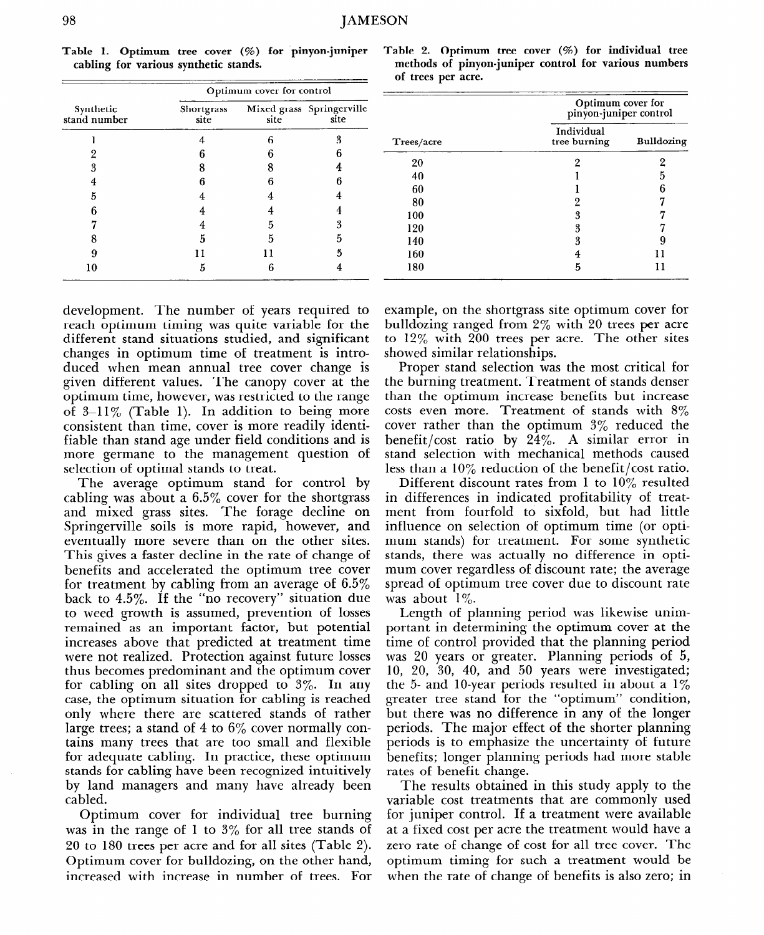|                           |                    | Optimum cover for control |                                   |           |
|---------------------------|--------------------|---------------------------|-----------------------------------|-----------|
| Synthetic<br>stand number | Shortgrass<br>site | site                      | Mixed grass Springerville<br>site |           |
|                           |                    | 6                         | 3                                 | Trees/acr |
|                           |                    |                           | h                                 |           |
| 3                         |                    |                           |                                   | 20        |
| 4                         |                    | 6                         | 6                                 | 40        |
| 5                         |                    |                           | 4                                 | 60<br>80  |
| ĥ                         |                    |                           |                                   | 100       |
|                           |                    | 5                         | 3                                 | 120       |
|                           | 5                  | 5                         | h                                 | 140       |
| Q                         |                    |                           | 5                                 | 160       |
| 10                        | 5                  | 6                         | 4                                 | 180       |

Table 1. Optimum tree cover (%) for pinyon-juniper **cabling for various synthetic stands.** 

| Table 2. Optimum tree cover (%) for individual tree   |  |
|-------------------------------------------------------|--|
| methods of pinyon-juniper control for various numbers |  |
| of trees per acre.                                    |  |

| Trees/acre | Optimum cover for<br>pinyon-juniper control |            |  |
|------------|---------------------------------------------|------------|--|
|            | Individual<br>tree burning                  | Bulldozing |  |
| 20         | 2                                           | 2          |  |
| 40         |                                             | 5          |  |
| 60         |                                             | 6          |  |
| 80         | 2                                           | .,         |  |
| 100        | 3                                           |            |  |
| 120        | 3                                           |            |  |
| 140        | 3                                           |            |  |
| 160        |                                             |            |  |
| 180        | 5                                           | Н          |  |

development. The number of years required to reach optimum timing was quite variable for the different stand situations studied, and significant changes in optimum time of treatment is introduced when mean annual tree cover change is given different values. The canopy cover at the optimum time, however, was restricted to the range of  $3-11\%$  (Table 1). In addition to being more consistent than time, cover is more readily identifiable than stand age under field conditions and is more germane to the management question of selection of optimal stands to treat.

The average optimum stand for control by cabling was about a 6.5% cover for the shortgrass and mixed grass sites. The forage decline on Springerville soils is more rapid, however, and eventually more severe than on the other sites. This gives a faster decline in the rate of change of benefits and accelerated the optimum tree cover for treatment by cabling from an average of 6.5% back to 4.5%. If the "no recovery" situation due to weed growth is assumed, prevention of losses remained as an important factor, but potential increases above that predicted at treatment time were not realized. Protection against future losses thus becomes predominant and the optimum cover for cabling on all sites dropped to 3%. In any case, the optimum situation for cabling is reached only where there are scattered stands of rather large trees; a stand of 4 to  $6\%$  cover normally contains many trees that are too small and flexible for adequate cabling. In practice, these optimum stands for cabling have been recognized intuitively by land managers and many have already been cabled.

Optimum cover for individual tree burning was in the range of 1 to  $3\%$  for all tree stands of 20 to 180 trees per acre and for all sites (Table 2). Optimum cover for bulldozing, on the other hand, increased with increase in number of trees. For example, on the shortgrass site optimum cover for bulldozing ranged from 2% with 20 trees per acre to 12% with 200 trees per acre. The other sites showed similar relationships.

Proper stand selection was the most critical for the burning treatment. Treatment of stands denser than the optimum increase benefits but increase costs even more. Treatment of stands with 8% cover rather than the optimum 3% reduced the benefit/cost ratio by 24%. A similar error in stand selection with mechanical methods caused less than a 10% reduction of the benefit/cost ratio.

Different discount rates from 1 to 10% resulted in differences in indicated profitability of treatment from fourfold to sixfold, but had little influence on selection of optimum time (or optimum stands) for treatment. For some synthetic stands, there was actually no difference in optimum cover regardless of discount rate; the average spread of optimum tree cover due to discount rate was about  $1\%$ .

Length of planning period was likewise unimportant in determining the optimum cover at the time of control provided that the planning period was 20 years or greater. Planning periods of 5, 10, 20, 30, 40, and 50 years were investigated; the 5- and 10-year periods resulted in about a  $1\%$ greater tree stand for the "optimum" condition, but there was no difference in any of the longer periods. The major effect of the shorter planning periods is to emphasize the uncertainty of future benefits; longer planning periods had more stable rates of benefit change.

The results obtained in this study apply to the variable cost treatments that are commonly used for juniper control. If a treatment were available at a fixed cost per acre the treatment would have a zero rate of change of cost for all tree cover. The optimum timing for such a treatment would be when the rate of change of benefits is also zero; in